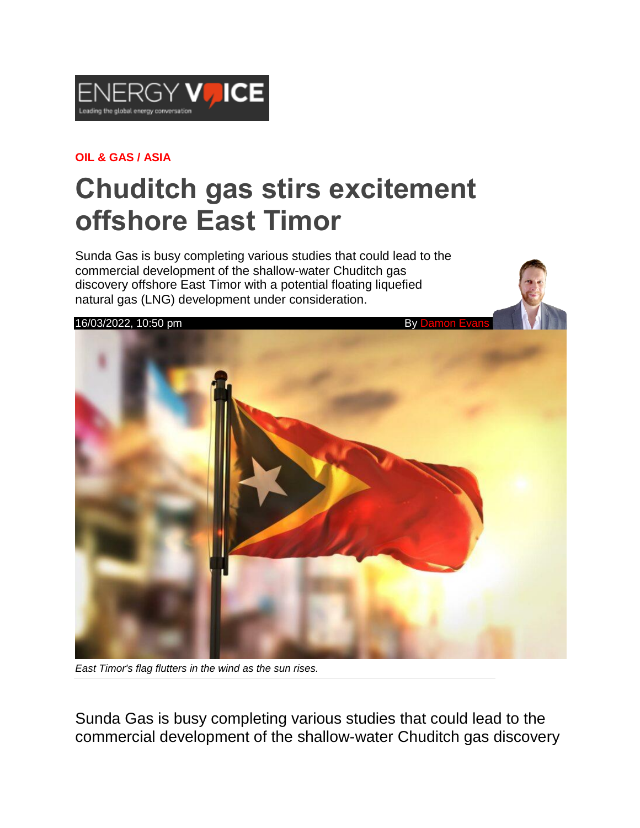

## **OIL & GAS / ASIA**

## **Chuditch gas stirs excitement offshore East Timor**

Sunda Gas is busy completing various studies that could lead to the commercial development of the shallow-water Chuditch gas discovery offshore East Timor with a potential floating liquefied natural gas (LNG) development under consideration.



*East Timor's flag flutters in the wind as the sun rises.*

Sunda Gas is busy completing various studies that could lead to the commercial development of the shallow-water Chuditch gas discovery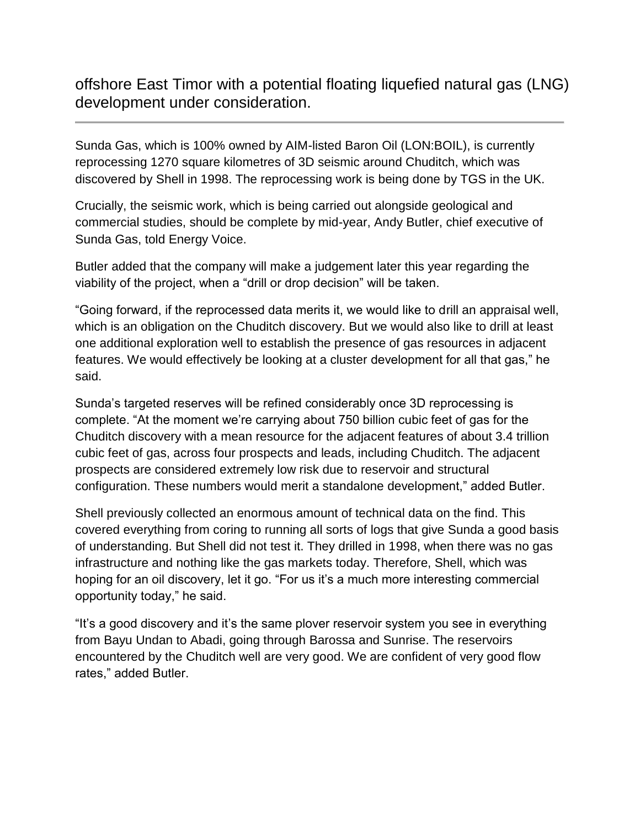offshore East Timor with a potential floating liquefied natural gas (LNG) development under consideration.

Sunda Gas, which is 100% owned by AIM-listed Baron Oil (LON:BOIL), is currently reprocessing 1270 square kilometres of 3D seismic around Chuditch, which was discovered by Shell in 1998. The reprocessing work is being done by TGS in the UK.

Crucially, the seismic work, which is being carried out alongside geological and commercial studies, should be complete by mid-year, Andy Butler, chief executive of Sunda Gas, told Energy Voice.

Butler added that the company will make a judgement later this year regarding the viability of the project, when a "drill or drop decision" will be taken.

"Going forward, if the reprocessed data merits it, we would like to drill an appraisal well, which is an obligation on the Chuditch discovery. But we would also like to drill at least one additional exploration well to establish the presence of gas resources in adjacent features. We would effectively be looking at a cluster development for all that gas," he said.

Sunda's targeted reserves will be refined considerably once 3D reprocessing is complete. "At the moment we're carrying about 750 billion cubic feet of gas for the Chuditch discovery with a mean resource for the adjacent features of about 3.4 trillion cubic feet of gas, across four prospects and leads, including Chuditch. The adjacent prospects are considered extremely low risk due to reservoir and structural configuration. These numbers would merit a standalone development," added Butler.

Shell previously collected an enormous amount of technical data on the find. This covered everything from coring to running all sorts of logs that give Sunda a good basis of understanding. But Shell did not test it. They drilled in 1998, when there was no gas infrastructure and nothing like the gas markets today. Therefore, Shell, which was hoping for an oil discovery, let it go. "For us it's a much more interesting commercial opportunity today," he said.

"It's a good discovery and it's the same plover reservoir system you see in everything from Bayu Undan to Abadi, going through Barossa and Sunrise. The reservoirs encountered by the Chuditch well are very good. We are confident of very good flow rates," added Butler.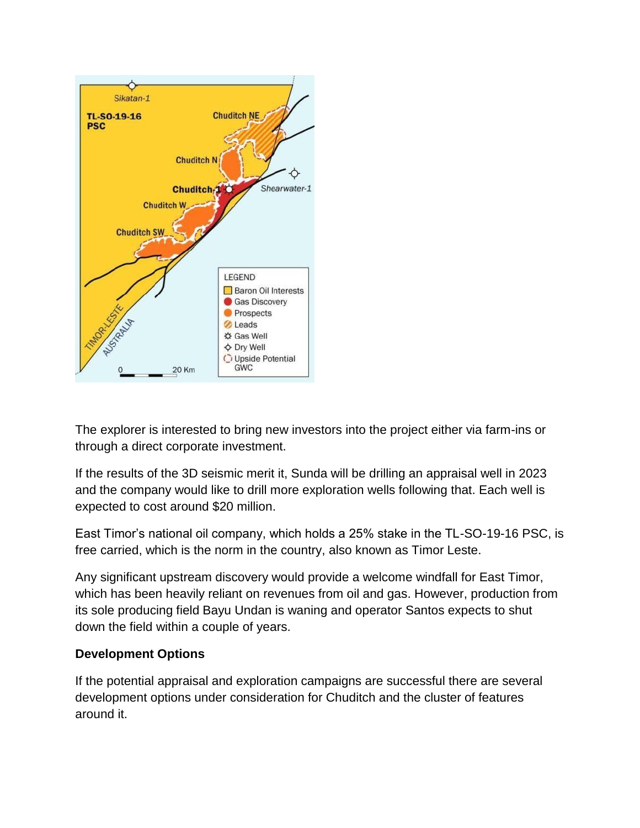

The explorer is interested to bring new investors into the project either via farm-ins or through a direct corporate investment.

If the results of the 3D seismic merit it, Sunda will be drilling an appraisal well in 2023 and the company would like to drill more exploration wells following that. Each well is expected to cost around \$20 million.

East Timor's national oil company, which holds a 25% stake in the TL-SO-19-16 PSC, is free carried, which is the norm in the country, also known as Timor Leste.

Any significant upstream discovery would provide a welcome windfall for East Timor, which has been heavily reliant on revenues from oil and gas. However, production from its sole producing field Bayu Undan is waning and operator Santos expects to shut down the field within a couple of years.

## **Development Options**

If the potential appraisal and exploration campaigns are successful there are several development options under consideration for Chuditch and the cluster of features around it.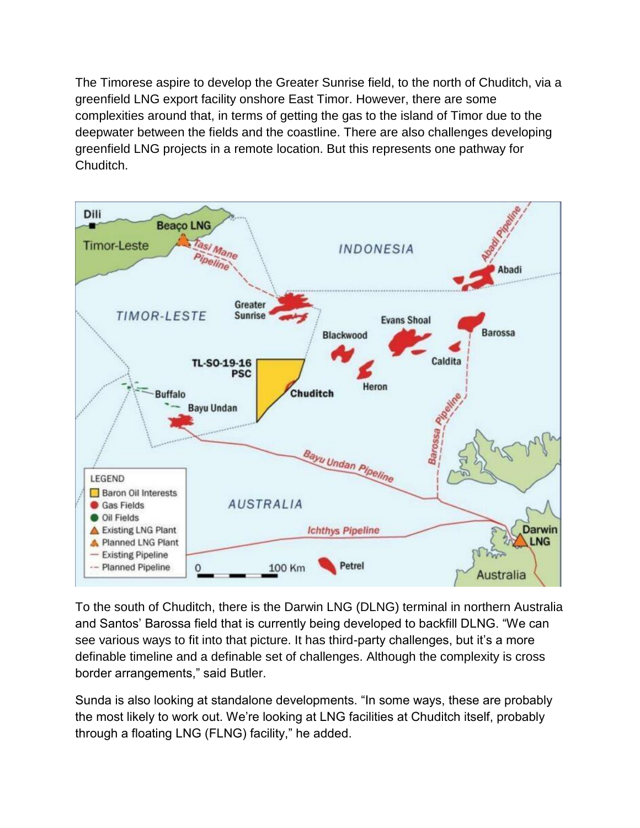The Timorese aspire to develop the Greater Sunrise field, to the north of Chuditch, via a greenfield LNG export facility onshore East Timor. However, there are some complexities around that, in terms of getting the gas to the island of Timor due to the deepwater between the fields and the coastline. There are also challenges developing greenfield LNG projects in a remote location. But this represents one pathway for Chuditch.



To the south of Chuditch, there is the Darwin LNG (DLNG) terminal in northern Australia and Santos' Barossa field that is currently being developed to backfill DLNG. "We can see various ways to fit into that picture. It has third-party challenges, but it's a more definable timeline and a definable set of challenges. Although the complexity is cross border arrangements," said Butler.

Sunda is also looking at standalone developments. "In some ways, these are probably the most likely to work out. We're looking at LNG facilities at Chuditch itself, probably through a floating LNG (FLNG) facility," he added.